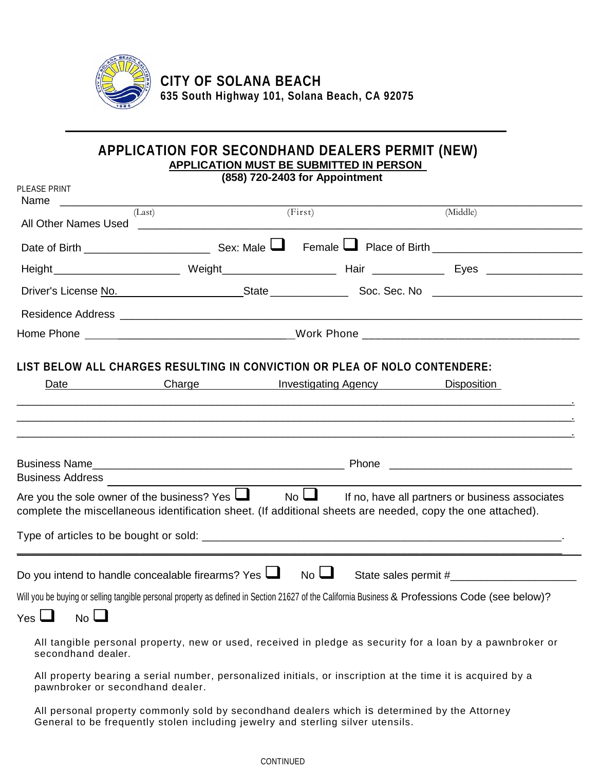

**CITY OF SOLANA BEACH 635 South Highway 101, Solana Beach, CA 92075**

**\_\_\_\_\_\_\_\_\_\_\_\_\_\_\_\_\_\_\_\_\_\_\_\_\_\_\_\_\_\_\_\_\_\_\_\_\_\_\_\_\_\_\_\_\_\_\_\_\_\_\_\_\_\_\_\_\_\_\_\_**

## **APPLICATION FOR SECONDHAND DEALERS PERMIT (NEW) APPLICATION MUST BE SUBMITTED IN PERSON**

| (858) 720-2403 for Appointment<br>PLEASE PRINT                                                                                                                 |                                                                                                                                                                                                                                      |                          |                                                                                                                                                 |  |  |  |  |  |
|----------------------------------------------------------------------------------------------------------------------------------------------------------------|--------------------------------------------------------------------------------------------------------------------------------------------------------------------------------------------------------------------------------------|--------------------------|-------------------------------------------------------------------------------------------------------------------------------------------------|--|--|--|--|--|
| (Last)                                                                                                                                                         |                                                                                                                                                                                                                                      | (First)                  | (Middle)                                                                                                                                        |  |  |  |  |  |
|                                                                                                                                                                |                                                                                                                                                                                                                                      |                          |                                                                                                                                                 |  |  |  |  |  |
|                                                                                                                                                                |                                                                                                                                                                                                                                      |                          |                                                                                                                                                 |  |  |  |  |  |
|                                                                                                                                                                |                                                                                                                                                                                                                                      |                          |                                                                                                                                                 |  |  |  |  |  |
|                                                                                                                                                                |                                                                                                                                                                                                                                      |                          |                                                                                                                                                 |  |  |  |  |  |
|                                                                                                                                                                |                                                                                                                                                                                                                                      |                          |                                                                                                                                                 |  |  |  |  |  |
| LIST BELOW ALL CHARGES RESULTING IN CONVICTION OR PLEA OF NOLO CONTENDERE:<br>Date                                                                             | <b>Example 20 Charge Charge Charge Charge Charge Charge Charge Charge Charge Charge Charge Charge Charge Charge Charge Charge Charge Charge Charge Charge Charge Charge Charge Charge Charge Charge Charge Charge Charge Charge </b> |                          | <b>Disposition</b>                                                                                                                              |  |  |  |  |  |
| Business Address <b>Management Community</b>                                                                                                                   |                                                                                                                                                                                                                                      |                          |                                                                                                                                                 |  |  |  |  |  |
| Are you the sole owner of the business? Yes Loss<br>complete the miscellaneous identification sheet. (If additional sheets are needed, copy the one attached). |                                                                                                                                                                                                                                      | $\mathsf{No}\,\bigsqcup$ | If no, have all partners or business associates                                                                                                 |  |  |  |  |  |
|                                                                                                                                                                |                                                                                                                                                                                                                                      |                          |                                                                                                                                                 |  |  |  |  |  |
| Do you intend to handle concealable firearms? Yes $\Box$                                                                                                       |                                                                                                                                                                                                                                      | $No$ $\Box$              |                                                                                                                                                 |  |  |  |  |  |
|                                                                                                                                                                |                                                                                                                                                                                                                                      |                          | Will you be buying or selling tangible personal property as defined in Section 21627 of the California Business & Professions Code (see below)? |  |  |  |  |  |
| secondhand dealer.                                                                                                                                             |                                                                                                                                                                                                                                      |                          | All tangible personal property, new or used, received in pledge as security for a loan by a pawnbroker or                                       |  |  |  |  |  |
| pawnbroker or secondhand dealer.                                                                                                                               | All property bearing a serial number, personalized initials, or inscription at the time it is acquired by a                                                                                                                          |                          |                                                                                                                                                 |  |  |  |  |  |

All personal property commonly sold by secondhand dealers which is determined by the Attorney General to be frequently stolen including jewelry and sterling silver utensils.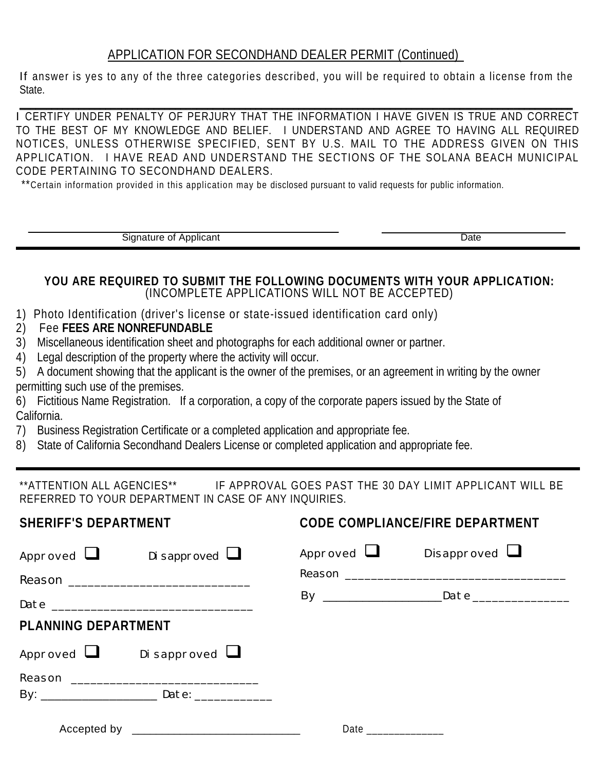## APPLICATION FOR SECONDHAND DEALER PERMIT (Continued)

If answer is yes to any of the three categories described, you will be required to obtain a license from the State.

\_\_\_\_\_\_\_\_\_\_\_\_\_\_\_\_\_\_\_\_\_\_\_\_\_\_\_\_\_\_\_\_\_\_\_\_\_\_\_\_\_\_\_\_\_\_\_\_\_\_\_\_\_\_\_\_\_\_\_\_\_\_\_\_\_\_\_\_\_\_\_\_\_\_\_\_\_\_\_\_\_\_\_\_\_\_\_\_\_\_\_\_\_\_\_\_\_\_\_\_\_\_\_ I CERTIFY UNDER PENALTY OF PERJURY THAT THE INFORMATION I HAVE GIVEN IS TRUE AND CORRECT TO THE BEST OF MY KNOWLEDGE AND BELIEF. I UNDERSTAND AND AGREE TO HAVING ALL REQUIRED NOTICES, UNLESS OTHERWISE SPECIFIED, SENT BY U.S. MAIL TO THE ADDRESS GIVEN ON THIS APPLICATION. I HAVE READ AND UNDERSTAND THE SECTIONS OF THE SOLANA BEACH MUNICIPAL CODE PERTAINING TO SECONDHAND DEALERS.

\*\*Certain information provided in this application may be disclosed pursuant to valid requests for public information.

Signature of Applicant Date

## **YOU ARE REQUIRED TO SUBMIT THE FOLLOWING DOCUMENTS WITH YOUR APPLICATION:** (INCOMPLETE APPLICATIONS WILL NOT BE ACCEPTED)

- 1) Photo Identification (driver's license or state-issued identification card only)
- 2) Fee **FEES ARE NONREFUNDABLE**
- 3) Miscellaneous identification sheet and photographs for each additional owner or partner.
- 4) Legal description of the property where the activity will occur.
- 5) A document showing that the applicant is the owner of the premises, or an agreement in writing by the owner permitting such use of the premises.
- 6) Fictitious Name Registration. If a corporation, a copy of the corporate papers issued by the State of California.
- 7) Business Registration Certificate or a completed application and appropriate fee.
- 8) State of California Secondhand Dealers License or completed application and appropriate fee.

\*\*ATTENTION ALL AGENCIES\*\* IF APPROVAL GOES PAST THE 30 DAY LIMIT APPLICANT WILL BE REFERRED TO YOUR DEPARTMENT IN CASE OF ANY INQUIRIES.

| <b>SHERIFF'S DEPARTMENT</b>        | <b>CODE COMPLIANCE/FIRE DEPARTMENT</b> |  |  |
|------------------------------------|----------------------------------------|--|--|
| Approved $\Box$ Disapproved $\Box$ | Approved $\Box$ Disapproved $\Box$     |  |  |
|                                    |                                        |  |  |
| <b>PLANNING DEPARTMENT</b>         |                                        |  |  |
| Approved $\Box$ Disapproved $\Box$ |                                        |  |  |
|                                    |                                        |  |  |
|                                    |                                        |  |  |
|                                    | Date _____________                     |  |  |